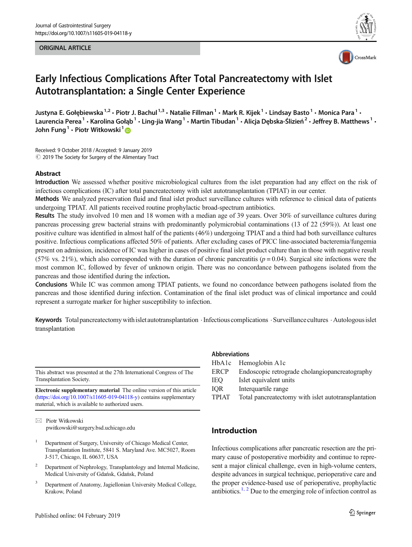ORIGINAL ARTICLE



CrossMark

# Early Infectious Complications After Total Pancreatectomy with Islet Autotransplantation: a Single Center Experience

Justyna E. Gołębiewska<sup>1,2</sup> • Piotr J. Bachul<sup>1,3</sup> • Natalie Fillman<sup>1</sup> • Mark R. Kijek<sup>1</sup> • Lindsay Basto<sup>1</sup> • Monica Para<sup>1</sup> • Laurencia Perea<sup>1</sup> • Karolina Gołąb<sup>1</sup> • Ling-jia Wang<sup>1</sup> • Martin Tibudan<sup>1</sup> • Alicja Dębska-Ślizień<sup>2</sup> • Jeffrey B. Matthews<sup>1</sup> • John Fung<sup>1</sup> · Piotr Witkowski<sup>1</sup>

Received: 9 October 2018 /Accepted: 9 January 2019  $\odot$  2019 The Society for Surgery of the Alimentary Tract

#### Abstract

Introduction We assessed whether positive microbiological cultures from the islet preparation had any effect on the risk of infectious complications (IC) after total pancreatectomy with islet autotransplantation (TPIAT) in our center.

Methods We analyzed preservation fluid and final islet product surveillance cultures with reference to clinical data of patients undergoing TPIAT. All patients received routine prophylactic broad-spectrum antibiotics.

Results The study involved 10 men and 18 women with a median age of 39 years. Over 30% of surveillance cultures during pancreas processing grew bacterial strains with predominantly polymicrobial contaminations (13 of 22 (59%)). At least one positive culture was identified in almost half of the patients (46%) undergoing TPIAT and a third had both surveillance cultures positive. Infectious complications affected 50% of patients. After excluding cases of PICC line-associated bacteremia/fungemia present on admission, incidence of IC was higher in cases of positive final islet product culture than in those with negative result (57% vs. 21%), which also corresponded with the duration of chronic pancreatitis ( $p = 0.04$ ). Surgical site infections were the most common IC, followed by fever of unknown origin. There was no concordance between pathogens isolated from the pancreas and those identified during the infection.

Conclusions While IC was common among TPIAT patients, we found no concordance between pathogens isolated from the pancreas and those identified during infection. Contamination of the final islet product was of clinical importance and could represent a surrogate marker for higher susceptibility to infection.

Keywords Total pancreatectomy with islet autotransplantation  $\cdot$  Infectious complications  $\cdot$  Surveillance cultures  $\cdot$  Autologous islet transplantation

This abstract was presented at the 27th International Congress of The Transplantation Society.

Electronic supplementary material The online version of this article (<https://doi.org/10.1007/s11605-019-04118-y>) contains supplementary material, which is available to authorized users.

 $\boxtimes$  Piotr Witkowski [pwitkowski@surgery.bsd.uchicago.edu](mailto:pwitkowski@surgery.bsd.uchicago.edu)

- <sup>1</sup> Department of Surgery, University of Chicago Medical Center, Transplantation Institute, 5841 S. Maryland Ave. MC5027, Room J-517, Chicago, IL 60637, USA
- <sup>2</sup> Department of Nephrology, Transplantology and Internal Medicine, Medical University of Gdańsk, Gdańsk, Poland
- <sup>3</sup> Department of Anatomy, Jagiellonian University Medical College, Krakow, Poland

# Abbreviations HbA1c Hemoglobin A1c

- ERCP Endoscopic retrograde cholangiopancreatography
- IEQ Islet equivalent units
- IQR Interquartile range
- TPIAT Total pancreatectomy with islet autotransplantation

# Introduction

Infectious complications after pancreatic resection are the primary cause of postoperative morbidity and continue to represent a major clinical challenge, even in high-volume centers, despite advances in surgical technique, perioperative care and the proper evidence-based use of perioperative, prophylactic antibiotics.<sup>1, 2</sup> Due to the emerging role of infection control as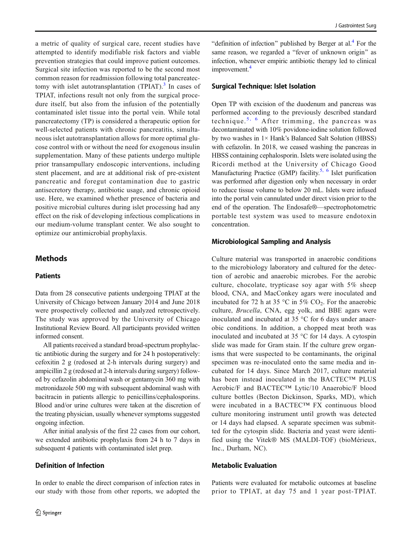<span id="page-1-0"></span>a metric of quality of surgical care, recent studies have attempted to identify modifiable risk factors and viable prevention strategies that could improve patient outcomes. Surgical site infection was reported to be the second most common reason for readmission following total pancreatectomy with islet autotransplantation  $(TPIAT)$ .<sup>[3](#page-8-0)</sup> In cases of TPIAT, infections result not only from the surgical procedure itself, but also from the infusion of the potentially contaminated islet tissue into the portal vein. While total pancreatectomy (TP) is considered a therapeutic option for well-selected patients with chronic pancreatitis, simultaneous islet autotransplantation allows for more optimal glucose control with or without the need for exogenous insulin supplementation. Many of these patients undergo multiple prior transampullary endoscopic interventions, including stent placement, and are at additional risk of pre-existent pancreatic and foregut contamination due to gastric antisecretory therapy, antibiotic usage, and chronic opioid use. Here, we examined whether presence of bacteria and positive microbial cultures during islet processing had any effect on the risk of developing infectious complications in our medium-volume transplant center. We also sought to optimize our antimicrobial prophylaxis.

## Methods

## **Patients**

Data from 28 consecutive patients undergoing TPIAT at the University of Chicago between January 2014 and June 2018 were prospectively collected and analyzed retrospectively. The study was approved by the University of Chicago Institutional Review Board. All participants provided written informed consent.

All patients received a standard broad-spectrum prophylactic antibiotic during the surgery and for 24 h postoperatively: cefoxitin 2 g (redosed at 2-h intervals during surgery) and ampicillin 2 g (redosed at 2-h intervals during surgery) followed by cefazolin abdominal wash or gentamycin 360 mg with metronidazole 500 mg with subsequent abdominal wash with bacitracin in patients allergic to penicillins/cephalosporins. Blood and/or urine cultures were taken at the discretion of the treating physician, usually whenever symptoms suggested ongoing infection.

After initial analysis of the first 22 cases from our cohort, we extended antibiotic prophylaxis from 24 h to 7 days in subsequent 4 patients with contaminated islet prep.

## Definition of Infection

In order to enable the direct comparison of infection rates in our study with those from other reports, we adopted the

"definition of infection" published by Berger at al. $<sup>4</sup>$  $<sup>4</sup>$  $<sup>4</sup>$  For the</sup> same reason, we regarded a "fever of unknown origin" as infection, whenever empiric antibiotic therapy led to clinical improvement.<sup>4</sup>

#### Surgical Technique: Islet Isolation

Open TP with excision of the duodenum and pancreas was performed according to the previously described standard technique.<sup>[5, 6](#page-8-0)</sup> After trimming, the pancreas was decontaminated with 10% povidone-iodine solution followed by two washes in 1× Hank's Balanced Salt Solution (HBSS) with cefazolin. In 2018, we ceased washing the pancreas in HBSS containing cephalosporin. Islets were isolated using the Ricordi method at the University of Chicago Good Manufacturing Practice (GMP) facility.<sup>5, 6</sup> Islet purification was performed after digestion only when necessary in order to reduce tissue volume to below 20 mL. Islets were infused into the portal vein cannulated under direct vision prior to the end of the operation. The Endosafe®—spectrophotometric portable test system was used to measure endotoxin concentration.

#### Microbiological Sampling and Analysis

Culture material was transported in anaerobic conditions to the microbiology laboratory and cultured for the detection of aerobic and anaerobic microbes. For the aerobic culture, chocolate, trypticase soy agar with 5% sheep blood, CNA, and MacConkey agars were inoculated and incubated for 72 h at 35 °C in 5%  $CO<sub>2</sub>$ . For the anaerobic culture, Brucella, CNA, egg yolk, and BBE agars were inoculated and incubated at 35 °C for 6 days under anaerobic conditions. In addition, a chopped meat broth was inoculated and incubated at 35 °C for 14 days. A cytospin slide was made for Gram stain. If the culture grew organisms that were suspected to be contaminants, the original specimen was re-inoculated onto the same media and incubated for 14 days. Since March 2017, culture material has been instead inoculated in the BACTEC™ PLUS Aerobic/F and BACTEC™ Lytic/10 Anaerobic/F blood culture bottles (Becton Dickinson, Sparks, MD), which were incubated in a BACTEC™ FX continuous blood culture monitoring instrument until growth was detected or 14 days had elapsed. A separate specimen was submitted for the cytospin slide. Bacteria and yeast were identified using the Vitek® MS (MALDI-TOF) (bioMérieux, Inc., Durham, NC).

## Metabolic Evaluation

Patients were evaluated for metabolic outcomes at baseline prior to TPIAT, at day 75 and 1 year post-TPIAT.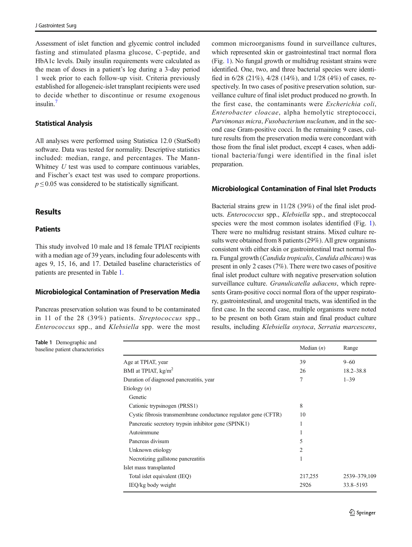Assessment of islet function and glycemic control included fasting and stimulated plasma glucose, C-peptide, and HbA1c levels. Daily insulin requirements were calculated as the mean of doses in a patient's log during a 3-day period 1 week prior to each follow-up visit. Criteria previously established for allogeneic-islet transplant recipients were used to decide whether to discontinue or resume exogenous insulin.<sup>[7](#page-8-0)</sup>

#### Statistical Analysis

All analyses were performed using Statistica 12.0 (StatSoft) software. Data was tested for normality. Descriptive statistics included: median, range, and percentages. The Mann-Whitney  $U$  test was used to compare continuous variables, and Fischer's exact test was used to compare proportions.  $p \le 0.05$  was considered to be statistically significant.

# Results

## Patients

This study involved 10 male and 18 female TPIAT recipients with a median age of 39 years, including four adolescents with ages 9, 15, 16, and 17. Detailed baseline characteristics of patients are presented in Table 1.

#### Microbiological Contamination of Preservation Media

Pancreas preservation solution was found to be contaminated in 11 of the 28 (39%) patients. Streptococcus spp., Enterococcus spp., and Klebsiella spp. were the most

Table 1 Demographic and baseline patient characteristics common microorganisms found in surveillance cultures, which represented skin or gastrointestinal tract normal flora (Fig. [1](#page-3-0)). No fungal growth or multidrug resistant strains were identified. One, two, and three bacterial species were identified in 6/28 (21%), 4/28 (14%), and 1/28 (4%) of cases, respectively. In two cases of positive preservation solution, surveillance culture of final islet product produced no growth. In the first case, the contaminants were Escherichia coli, Enterobacter cloacae, alpha hemolytic streptococci, Parvimonas micra, Fusobacterium nucleatum, and in the second case Gram-positive cocci. In the remaining 9 cases, culture results from the preservation media were concordant with those from the final islet product, except 4 cases, when additional bacteria/fungi were identified in the final islet preparation.

#### Microbiological Contamination of Final Islet Products

Bacterial strains grew in 11/28 (39%) of the final islet products. Enterococcus spp., Klebsiella spp., and streptococcal species were the most common isolates identified (Fig. [1\)](#page-3-0). There were no multidrug resistant strains. Mixed culture results were obtained from 8 patients (29%). All grew organisms consistent with either skin or gastrointestinal tract normal flora. Fungal growth (Candida tropicalis, Candida albicans) was present in only 2 cases (7%). There were two cases of positive final islet product culture with negative preservation solution surveillance culture. Granulicatella adiacens, which represents Gram-positive cocci normal flora of the upper respiratory, gastrointestinal, and urogenital tracts, was identified in the first case. In the second case, multiple organisms were noted to be present on both Gram stain and final product culture results, including Klebsiella oxytoca, Serratia marcescens,

|                                                                 | Median $(n)$   | Range         |
|-----------------------------------------------------------------|----------------|---------------|
| Age at TPIAT, year                                              | 39             | $9 - 60$      |
| BMI at TPIAT, kg/m <sup>2</sup>                                 | 26             | $18.2 - 38.8$ |
| Duration of diagnosed pancreatitis, year                        | 7              | $1 - 39$      |
| Etiology $(n)$                                                  |                |               |
| Genetic                                                         |                |               |
| Cationic trypsinogen (PRSS1)                                    | 8              |               |
| Cystic fibrosis transmembrane conductance regulator gene (CFTR) | 10             |               |
| Pancreatic secretory trypsin inhibitor gene (SPINK1)            | 1              |               |
| Autoimmune                                                      | 1              |               |
| Pancreas divisum                                                | 5              |               |
| Unknown etiology                                                | $\overline{2}$ |               |
| Necrotizing gallstone pancreatitis                              | 1              |               |
| Islet mass transplanted                                         |                |               |
| Total islet equivalent (IEQ)                                    | 217,255        | 2539-379,109  |
| IEQ/kg body weight                                              | 2926           | 33.8–5193     |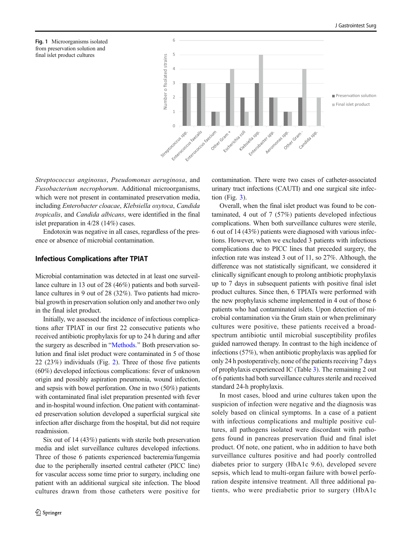<span id="page-3-0"></span>



Streptococcus anginosus, Pseudomonas aeruginosa, and Fusobacterium necrophorum. Additional microorganisms, which were not present in contaminated preservation media, including Enterobacter cloacae, Klebsiella oxytoca, Candida tropicalis, and Candida albicans, were identified in the final islet preparation in 4/28 (14%) cases.

Endotoxin was negative in all cases, regardless of the presence or absence of microbial contamination.

#### Infectious Complications after TPIAT

Microbial contamination was detected in at least one surveillance culture in 13 out of 28 (46%) patients and both surveillance cultures in 9 out of 28 (32%). Two patients had microbial growth in preservation solution only and another two only in the final islet product.

Initially, we assessed the incidence of infectious complications after TPIAT in our first 22 consecutive patients who received antibiotic prophylaxis for up to 24 h during and after the surgery as described in "[Methods.](#page-1-0)" Both preservation solution and final islet product were contaminated in 5 of those 22 (23%) individuals (Fig. [2\)](#page-4-0). Three of those five patients (60%) developed infectious complications: fever of unknown origin and possibly aspiration pneumonia, wound infection, and sepsis with bowel perforation. One in two (50%) patients with contaminated final islet preparation presented with fever and in-hospital wound infection. One patient with contaminated preservation solution developed a superficial surgical site infection after discharge from the hospital, but did not require readmission.

Six out of 14 (43%) patients with sterile both preservation media and islet surveillance cultures developed infections. Three of those 6 patients experienced bacteremia/fungemia due to the peripherally inserted central catheter (PICC line) for vascular access some time prior to surgery, including one patient with an additional surgical site infection. The blood cultures drawn from those catheters were positive for contamination. There were two cases of catheter-associated urinary tract infections (CAUTI) and one surgical site infection (Fig.  $3$ ).

Overall, when the final islet product was found to be contaminated, 4 out of 7 (57%) patients developed infectious complications. When both surveillance cultures were sterile, 6 out of 14 (43%) patients were diagnosed with various infections. However, when we excluded 3 patients with infectious complications due to PICC lines that preceded surgery, the infection rate was instead 3 out of 11, so 27%. Although, the difference was not statistically significant, we considered it clinically significant enough to prolong antibiotic prophylaxis up to 7 days in subsequent patients with positive final islet product cultures. Since then, 6 TPIATs were performed with the new prophylaxis scheme implemented in 4 out of those 6 patients who had contaminated islets. Upon detection of microbial contamination via the Gram stain or when preliminary cultures were positive, these patients received a broadspectrum antibiotic until microbial susceptibility profiles guided narrowed therapy. In contrast to the high incidence of infections (57%), when antibiotic prophylaxis was applied for only 24 h postoperatively, none of the patients receiving 7 days of prophylaxis experienced IC (Table [3\)](#page-7-0). The remaining 2 out of 6 patients had both surveillance cultures sterile and received standard 24-h prophylaxis.

In most cases, blood and urine cultures taken upon the suspicion of infection were negative and the diagnosis was solely based on clinical symptoms. In a case of a patient with infectious complications and multiple positive cultures, all pathogens isolated were discordant with pathogens found in pancreas preservation fluid and final islet product. Of note, one patient, who in addition to have both surveillance cultures positive and had poorly controlled diabetes prior to surgery (HbA1c 9.6), developed severe sepsis, which lead to multi-organ failure with bowel perforation despite intensive treatment. All three additional patients, who were prediabetic prior to surgery (HbA1c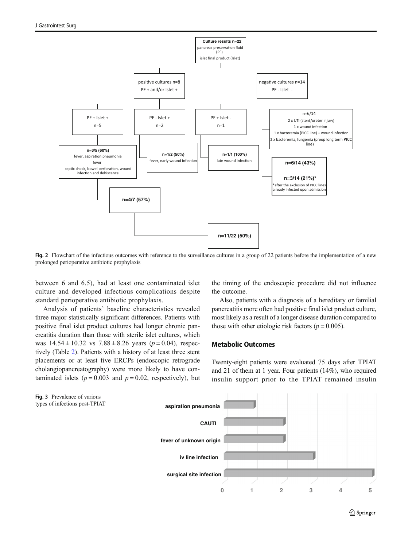<span id="page-4-0"></span>

Fig. 2 Flowchart of the infectious outcomes with reference to the surveillance cultures in a group of 22 patients before the implementation of a new prolonged perioperative antibiotic prophylaxis

between 6 and 6.5), had at least one contaminated islet culture and developed infectious complications despite standard perioperative antibiotic prophylaxis.

Analysis of patients' baseline characteristics revealed three major statistically significant differences. Patients with positive final islet product cultures had longer chronic pancreatitis duration than those with sterile islet cultures, which was  $14.54 \pm 10.32$  vs  $7.88 \pm 8.26$  years ( $p = 0.04$ ), respectively (Table [2](#page-5-0)). Patients with a history of at least three stent placements or at least five ERCPs (endoscopic retrograde cholangiopancreatography) were more likely to have contaminated islets ( $p = 0.003$  and  $p = 0.02$ , respectively), but the timing of the endoscopic procedure did not influence the outcome.

Also, patients with a diagnosis of a hereditary or familial pancreatitis more often had positive final islet product culture, most likely as a result of a longer disease duration compared to those with other etiologic risk factors ( $p = 0.005$ ).

## Metabolic Outcomes

Twenty-eight patients were evaluated 75 days after TPIAT and 21 of them at 1 year. Four patients (14%), who required insulin support prior to the TPIAT remained insulin

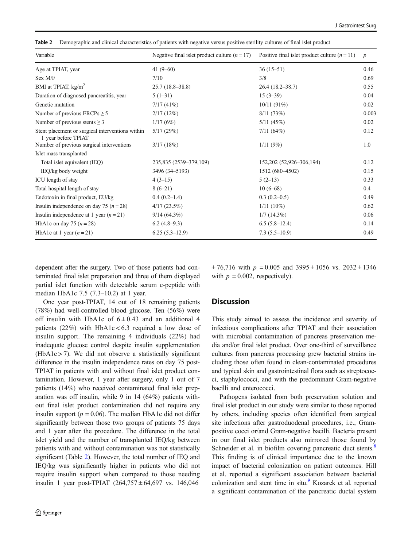| Variable                                                                | Negative final islet product culture $(n = 17)$ | Positive final islet product culture $(n = 11)$ | $\boldsymbol{p}$ |
|-------------------------------------------------------------------------|-------------------------------------------------|-------------------------------------------------|------------------|
| Age at TPIAT, year                                                      | 41 $(9-60)$                                     | $36(15-51)$                                     | 0.46             |
| Sex M/F                                                                 | 7/10                                            | 3/8                                             | 0.69             |
| BMI at TPIAT, $kg/m2$                                                   | $25.7(18.8-38.8)$                               | $26.4(18.2 - 38.7)$                             | 0.55             |
| Duration of diagnosed pancreatitis, year                                | $5(1-31)$                                       | $15(3-39)$                                      | 0.04             |
| Genetic mutation                                                        | 7/17(41%)                                       | 10/11(91%)                                      | 0.02             |
| Number of previous $ERCPs \geq 5$                                       | 2/17(12%)                                       | 8/11(73%)                                       | 0.003            |
| Number of previous stents $\geq$ 3                                      | 1/17(6%)                                        | 5/11(45%)                                       | 0.02             |
| Stent placement or surgical interventions within<br>1 year before TPIAT | 5/17(29%)                                       | 7/11(64%)                                       | 0.12             |
| Number of previous surgical interventions                               | 3/17(18%)                                       | 1/11(9%)                                        | 1.0              |
| Islet mass transplanted                                                 |                                                 |                                                 |                  |
| Total islet equivalent (IEQ)                                            | 235,835 (2539-379,109)                          | 152,202 (52,926-306,194)                        | 0.12             |
| IEQ/kg body weight                                                      | 3496 (34–5193)                                  | 1512 (680-4502)                                 | 0.15             |
| ICU length of stay                                                      | $4(3-15)$                                       | $5(2-13)$                                       | 0.33             |
| Total hospital length of stay                                           | $8(6-21)$                                       | $10(6-68)$                                      | 0.4              |
| Endotoxin in final product, EU/kg                                       | $0.4(0.2-1.4)$                                  | $0.3(0.2-0.5)$                                  | 0.49             |
| Insulin independence on day 75 ( $n = 28$ )                             | 4/17(23.5%)                                     | $1/11(10\%)$                                    | 0.62             |
| Insulin independence at 1 year $(n = 21)$                               | $9/14(64.3\%)$                                  | $1/7(14.3\%)$                                   | 0.06             |
| HbA1c on day 75 $(n=28)$                                                | $6.2(4.8-9.3)$                                  | $6.5(5.8-12.4)$                                 | 0.14             |
| HbA1c at 1 year $(n=21)$                                                | $6.25(5.3-12.9)$                                | $7.3(5.5-10.9)$                                 | 0.49             |

<span id="page-5-0"></span>Table 2 Demographic and clinical characteristics of patients with negative versus positive sterility cultures of final islet product

dependent after the surgery. Two of those patients had contaminated final islet preparation and three of them displayed partial islet function with detectable serum c-peptide with median HbA1c 7.5 (7.3–10.2) at 1 year.

One year post-TPIAT, 14 out of 18 remaining patients (78%) had well-controlled blood glucose. Ten (56%) were off insulin with HbA1c of  $6 \pm 0.43$  and an additional 4 patients  $(22%)$  with HbA1c < 6.3 required a low dose of insulin support. The remaining 4 individuals (22%) had inadequate glucose control despite insulin supplementation  $(HbA1c > 7)$ . We did not observe a statistically significant difference in the insulin independence rates on day 75 post-TPIAT in patients with and without final islet product contamination. However, 1 year after surgery, only 1 out of 7 patients (14%) who received contaminated final islet preparation was off insulin, while 9 in 14 (64%) patients without final islet product contamination did not require any insulin support ( $p = 0.06$ ). The median HbA1c did not differ significantly between those two groups of patients 75 days and 1 year after the procedure. The difference in the total islet yield and the number of transplanted IEQ/kg between patients with and without contamination was not statistically significant (Table 2). However, the total number of IEQ and IEQ/kg was significantly higher in patients who did not require insulin support when compared to those needing insulin 1 year post-TPIAT  $(264,757 \pm 64,697 \text{ vs. } 146,046$ 

 $\pm$  76,716 with  $p = 0.005$  and 3995 $\pm$ 1056 vs. 2032 $\pm$ 1346 with  $p = 0.002$ , respectively).

# **Discussion**

This study aimed to assess the incidence and severity of infectious complications after TPIAT and their association with microbial contamination of pancreas preservation media and/or final islet product. Over one-third of surveillance cultures from pancreas processing grew bacterial strains including those often found in clean-contaminated procedures and typical skin and gastrointestinal flora such as streptococci, staphylococci, and with the predominant Gram-negative bacilli and enterococci.

Pathogens isolated from both preservation solution and final islet product in our study were similar to those reported by others, including species often identified from surgical site infections after gastroduodenal procedures, i.e., Grampositive cocci or/and Gram-negative bacilli. Bacteria present in our final islet products also mirrored those found by Schneider et al. in biofilm covering pancreatic duct stents. $8$ This finding is of clinical importance due to the known impact of bacterial colonization on patient outcomes. Hill et al. reported a significant association between bacterial colonization and stent time in situ.<sup>9</sup> Kozarek et al. reported a significant contamination of the pancreatic ductal system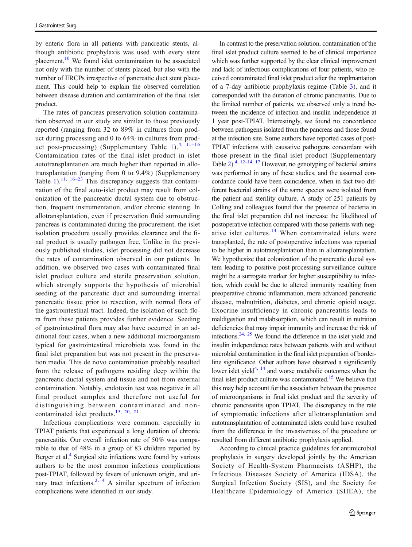by enteric flora in all patients with pancreatic stents, although antibiotic prophylaxis was used with every stent placement[.10](#page-9-0) We found islet contamination to be associated not only with the number of stents placed, but also with the number of ERCPs irrespective of pancreatic duct stent placement. This could help to explain the observed correlation between disease duration and contamination of the final islet product.

The rates of pancreas preservation solution contamination observed in our study are similar to those previously reported (ranging from 32 to 89% in cultures from product during processing and 0 to 64% in cultures from product post-processing) (Supplementary Table 1). $4, 11-16$  $4, 11-16$  $4, 11-16$  $4, 11-16$ Contamination rates of the final islet product in islet autotransplantation are much higher than reported in allotransplantation (ranging from 0 to 9.4%) (Supplementary Table 1).<sup>[11, 16](#page-9-0)[–](#page-9-0)[23](#page-9-0)</sup> This discrepancy suggests that contamination of the final auto-islet product may result from colonization of the pancreatic ductal system due to obstruction, frequent instrumentation, and/or chronic stenting. In allotransplantation, even if preservation fluid surrounding pancreas is contaminated during the procurement, the islet isolation procedure usually provides clearance and the final product is usually pathogen free. Unlike in the previously published studies, islet processing did not decrease the rates of contamination observed in our patients. In addition, we observed two cases with contaminated final islet product culture and sterile preservation solution, which strongly supports the hypothesis of microbial seeding of the pancreatic duct and surrounding internal pancreatic tissue prior to resection, with normal flora of the gastrointestinal tract. Indeed, the isolation of such flora from these patients provides further evidence. Seeding of gastrointestinal flora may also have occurred in an additional four cases, when a new additional microorganism typical for gastrointestinal microbiota was found in the final islet preparation but was not present in the preservation media. This de novo contamination probably resulted from the release of pathogens residing deep within the pancreatic ductal system and tissue and not from external contamination. Notably, endotoxin test was negative in all final product samples and therefore not useful for distinguishing between contaminated and noncontaminated islet products.[15, 20, 21](#page-9-0)

Infectious complications were common, especially in TPIAT patients that experienced a long duration of chronic pancreatitis. Our overall infection rate of 50% was comparable to that of 48% in a group of 83 children reported by Berger et al.<sup>[4](#page-8-0)</sup> Surgical site infections were found by various authors to be the most common infectious complications post-TPIAT, followed by fevers of unknown origin, and uri-nary tract infections.<sup>[3, 4](#page-8-0)</sup> A similar spectrum of infection complications were identified in our study.

In contrast to the preservation solution, contamination of the final islet product culture seemed to be of clinical importance which was further supported by the clear clinical improvement and lack of infectious complications of four patients, who received contaminated final islet product after the implmantation of a 7-day antibiotic prophylaxis regime (Table [3\)](#page-7-0), and it corresponded with the duration of chronic pancreatitis. Due to the limited number of patients, we observed only a trend between the incidence of infection and insulin independence at 1 year post-TPIAT. Interestingly, we found no concordance between pathogens isolated from the pancreas and those found at the infection site. Some authors have reported cases of post-TPIAT infections with causative pathogens concordant with those present in the final islet product (Supplementary Table 2).<sup>[4,](#page-8-0) [12](#page-9-0)[–](#page-9-0)[14, 17](#page-9-0)</sup> However, no genotyping of bacterial strains was performed in any of these studies, and the assumed concordance could have been coincidence, when in fact two different bacterial strains of the same species were isolated from the patient and sterility culture. A study of 251 patients by Colling and colleagues found that the presence of bacteria in the final islet preparation did not increase the likelihood of postoperative infection compared with those patients with negative islet cultures. $14$  When contaminated islets were transplanted, the rate of postoperative infections was reported to be higher in autotransplantation than in allotransplantation. We hypothesize that colonization of the pancreatic ductal system leading to positive post-processing surveillance culture might be a surrogate marker for higher susceptibility to infection, which could be due to altered immunity resulting from preoperative chronic inflammation, more advanced pancreatic disease, malnutrition, diabetes, and chronic opioid usage. Exocrine insufficiency in chronic pancreatitis leads to maldigestion and malabsorption, which can result in nutrition deficiencies that may impair immunity and increase the risk of infections.<sup>[24, 25](#page-9-0)</sup> We found the difference in the islet yield and insulin independence rates between patients with and without microbial contamination in the final islet preparation of borderline significance. Other authors have observed a significantly lower islet yield $4, 14$  $4, 14$  and worse metabolic outcomes when the final islet product culture was contaminated.<sup>15</sup> We believe that this may help account for the association between the presence of microorganisms in final islet product and the severity of chronic pancreatitis upon TPIAT. The discrepancy in the rate of symptomatic infections after allotransplantation and autotransplantation of contaminated islets could have resulted from the difference in the invasiveness of the procedure or resulted from different antibiotic prophylaxis applied.

According to clinical practice guidelines for antimicrobial prophylaxis in surgery developed jointly by the American Society of Health-System Pharmacists (ASHP), the Infectious Diseases Society of America (IDSA), the Surgical Infection Society (SIS), and the Society for Healthcare Epidemiology of America (SHEA), the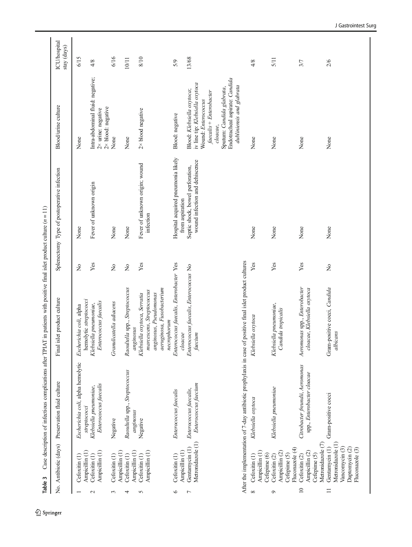<span id="page-7-0"></span>

|                |                                                                                            | No. Antibiotic (days) Preservation fluid culture                | islet product culture<br>Final                                                                                                |               | Splenectomy Type of postoperative infection                        | Blood/urine culture                                                                                                                                                                                                     | <b>ICU/hospital</b><br>stay (days) |
|----------------|--------------------------------------------------------------------------------------------|-----------------------------------------------------------------|-------------------------------------------------------------------------------------------------------------------------------|---------------|--------------------------------------------------------------------|-------------------------------------------------------------------------------------------------------------------------------------------------------------------------------------------------------------------------|------------------------------------|
|                | Ampicillin (1)<br>Cefoxitin <sup>(1)</sup>                                                 | Escherichia coli, alpha hemolytic                               | Escherichia coli, alpha                                                                                                       | $\tilde{z}$   | None                                                               | None                                                                                                                                                                                                                    | 6/15                               |
| $\sim$         | Ampicillin (1)<br>Cefoxitin (1)                                                            | Enterococcus faecalis<br>Klebsiella pneumoniae,<br>streptococci | hemolytic streptococci<br>Enterococcus faecalis<br>Klebsiella pneumoniae,                                                     | Yes           | Fever of unknown origin                                            | Intra-abdominal fluid: negative;<br>$2 \times$ urine: negative                                                                                                                                                          | 4/8                                |
| 3              | Ampicillin (1)<br>Cefoxitin (1)                                                            | Negative                                                        | Granulicatella adiacens                                                                                                       | $\tilde{z}$   | None                                                               | 2× blood: negative<br>None                                                                                                                                                                                              | 6/16                               |
| 4              | Cefoxitin (1)                                                                              | Raoultella spp., Streptococcus                                  | Raoultella spp., Streptococcus                                                                                                | $\frac{1}{2}$ | None                                                               | None                                                                                                                                                                                                                    | 10/11                              |
| 5              | Ampicillin (1)<br>Ampicillin (1)<br>Cefoxitin (1)                                          | anginosus<br>Negative                                           | aeruginosa, Fusobacterium<br>marcescens, Streptococcus<br>anginosus, Pseudomonas<br>Klebsiella oxytoca, Serratia<br>anginosus | Yes           | Fever of unknown origin; wound<br>infection                        | $2 \times$ blood negative                                                                                                                                                                                               | 8/10                               |
| ৩              | Ampicillin (1)<br>Cefoxitin <sup>(1)</sup>                                                 | Enterococcus faecalis                                           | Enterococcus faecalis, Enterobacter Yes<br>necrophorum<br>$\ensuremath{\textit{cloace}}$                                      |               | Hospital acquired pneumonia likely<br>from aspiration              | Blood: negative                                                                                                                                                                                                         | 5/9                                |
| $\overline{ }$ | Metronidazole (1)<br>Gentamycin (1)                                                        | Enterococcus faecium<br>Enterococcus faecalis,                  | Enterococcus faecalis, Enterococcus No<br>faecium                                                                             |               | wound infection and dehiscence<br>Septic shock, bowel perforation, | Endotracheal aspirate: Candida<br>iv line tip: Klebsiella oxytoca<br>dubliniensis and glabrata<br>Sputum: Candida glabrata,<br>Blood: Klebsiella oxytoca;<br>faecalis + Enterobacter<br>Wound: Enterococcus<br>cloacae, | 13/68                              |
|                |                                                                                            |                                                                 | After the implementation of 7-day antibiotic prophylaxis in case of positive final islet product cultures                     |               |                                                                    |                                                                                                                                                                                                                         |                                    |
| $\infty$       | Ampicillin (1)<br>Cefepime (6)<br>Cefoxitin (1)                                            | Klebsiella oxytoca                                              | Klebsiella oxytoca                                                                                                            | Yes           | None                                                               | None                                                                                                                                                                                                                    | 4/8                                |
| ᢦ              | Fluconazole (4)<br>Ampicillin (2)<br>Cefepime (5)<br>Cefoxitin <sub>(2)</sub>              | Klebsiella pneumoniae                                           | Klebsiella pneumoniae,<br>Candida tropicalis                                                                                  | Yes           | None                                                               | None                                                                                                                                                                                                                    | 5/11                               |
| $\supseteq$    | Metronidazole (7)<br>Ampicillin (2)<br>Cefoxitin <sub>(2)</sub><br>Cefepime (5)            | Citrobacter freundii, Aeromonas<br>spp., Enterobacter cloacae   | Aeromonas spp., Enterobacter<br>cloacae, Klebsiella oxytoca                                                                   | Yes           | None                                                               | None                                                                                                                                                                                                                    | 3/7                                |
| $\Box$         | Metronidazole (1)<br>Gentamycin (1)<br>Vancomycin (3)<br>Daptomycin (2)<br>Fluconazole (3) | Gram-positive cocci                                             | Gram-positive cocci, Candida<br>albicans                                                                                      | $\frac{1}{2}$ | None                                                               | None                                                                                                                                                                                                                    | 2/6                                |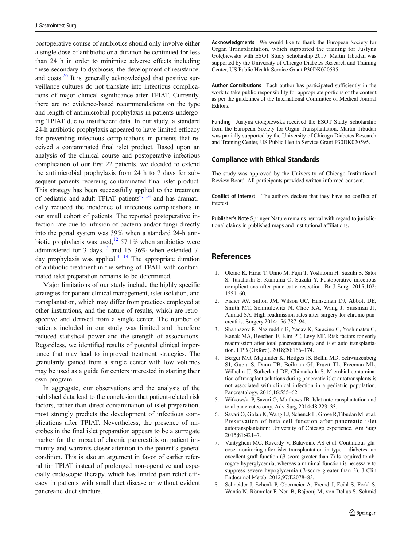<span id="page-8-0"></span>postoperative course of antibiotics should only involve either a single dose of antibiotic or a duration be continued for less than 24 h in order to minimize adverse effects including these secondary to dysbiosis, the development of resistance, and costs. $^{26}$  $^{26}$  $^{26}$  It is generally acknowledged that positive surveillance cultures do not translate into infectious complications of major clinical significance after TPIAT. Currently, there are no evidence-based recommendations on the type and length of antimicrobial prophylaxis in patients undergoing TPIAT due to insufficient data. In our study, a standard 24-h antibiotic prophylaxis appeared to have limited efficacy for preventing infectious complications in patients that received a contaminated final islet product. Based upon an analysis of the clinical course and postoperative infectious complication of our first 22 patients, we decided to extend the antimicrobial prophylaxis from 24 h to 7 days for subsequent patients receiving contaminated final islet product. This strategy has been successfully applied to the treatment of pediatric and adult TPIAT patients<sup>4, [14](#page-9-0)</sup> and has dramatically reduced the incidence of infectious complications in our small cohort of patients. The reported postoperative infection rate due to infusion of bacteria and/or fungi directly into the portal system was 39% when a standard 24-h anti-biotic prophylaxis was used,<sup>[12](#page-9-0)</sup> 57.1% when antibiotics were administered for 3 days,  $\frac{13}{13}$  $\frac{13}{13}$  $\frac{13}{13}$  and 15–36% when extended 7-day prophylaxis was applied.<sup>4, [14](#page-9-0)</sup> The appropriate duration of antibiotic treatment in the setting of TPAIT with contaminated islet preparation remains to be determined.

Major limitations of our study include the highly specific strategies for patient clinical management, islet isolation, and transplantation, which may differ from practices employed at other institutions, and the nature of results, which are retrospective and derived from a single center. The number of patients included in our study was limited and therefore reduced statistical power and the strength of associations. Regardless, we identified results of potential clinical importance that may lead to improved treatment strategies. The granularity gained from a single center with low volumes may be used as a guide for centers interested in starting their own program.

In aggregate, our observations and the analysis of the published data lead to the conclusion that patient-related risk factors, rather than direct contamination of islet preparation, most strongly predicts the development of infectious complications after TPIAT. Nevertheless, the presence of microbes in the final islet preparation appears to be a surrogate marker for the impact of chronic pancreatitis on patient immunity and warrants closer attention to the patient's general condition. This is also an argument in favor of earlier referral for TPIAT instead of prolonged non-operative and especially endoscopic therapy, which has limited pain relief efficacy in patients with small duct disease or without evident pancreatic duct stricture.

Acknowledgments We would like to thank the European Society for Organ Transplantation, which supported the training for Justyna Gołębiewska with ESOT Study Scholarship 2017. Martin Tibudan was supported by the University of Chicago Diabetes Research and Training Center, US Public Health Service Grant P30DK020595.

Author Contributions Each author has participated sufficiently in the work to take public responsibility for appropriate portions of the content as per the guidelines of the International Committee of Medical Journal Editors.

Funding Justyna Gołębiewska received the ESOT Study Scholarship from the European Society for Organ Transplantation, Martin Tibudan was partially supported by the University of Chicago Diabetes Research and Training Center, US Public Health Service Grant P30DK020595.

#### Compliance with Ethical Standards

The study was approved by the University of Chicago Institutional Review Board. All participants provided written informed consent.

Conflict of Interest The authors declare that they have no conflict of interest.

Publisher's Note Springer Nature remains neutral with regard to jurisdictional claims in published maps and institutional affiliations.

## References

- 1. Okano K, Hirao T, Unno M, Fujii T, Yoshitomi H, Suzuki S, Satoi S, Takahashi S, Kainuma O, Suzuki Y. Postoperative infectious complications after pancreatic resection. Br J Surg. 2015;102: 1551–60.
- 2. Fisher AV, Sutton JM, Wilson GC, Hanseman DJ, Abbott DE, Smith MT, Schmulewitz N, Choe KA, Wang J, Sussman JJ, Ahmad SA. High readmission rates after surgery for chronic pancreatitis. Surgery.2014;156:787–94.
- 3. Shahbazov R, Naziruddin B, Yadav K, Saracino G, Yoshimatsu G, Kanak MA, Beecherl E, Kim PT, Levy MF. Risk factors for early readmission after total pancreatectomy and islet auto transplantation. HPB (Oxford). 2018;20:166–174.
- 4. Berger MG, Majumder K, Hodges JS, Bellin MD, Schwarzenberg SJ, Gupta S, Dunn TB, Beilman GJ, Pruett TL, Freeman ML, Wilhelm JJ, Sutherland DE, Chinnakotla S. Microbial contamination of transplant solutions during pancreatic islet autotransplants is not associated with clinical infection in a pediatric population. Pancreatology. 2016;16:555–62.
- 5. Witkowski P, Savari O, Matthews JB. Islet autotransplantation and total pancreatectomy. Adv Surg 2014;48:223–33.
- 6. Savari O, Golab K, Wang LJ, Schenck L, Grose R,Tibudan M, et al. Preservation of beta cell function after pancreatic islet autotransplantation: University of Chicago experience. Am Surg 2015;81:421–7.
- 7. Vantyghem MC, Raverdy V, Balavoine AS et al. Continuous glucose monitoring after islet transplantation in type 1 diabetes: an excellent graft function (β-score greater than 7) Is required to abrogate hyperglycemia, whereas a minimal function is necessary to suppress severe hypoglycemia (β-score greater than 3). J Clin Endocrinol Metab. 2012;97:E2078–83.
- 8. Schneider J, Schenk P, Obermeier A, Fremd J, Feihl S, Forkl S, Wantia N, Römmler F, Neu B, Bajbouj M, von Delius S, Schmid